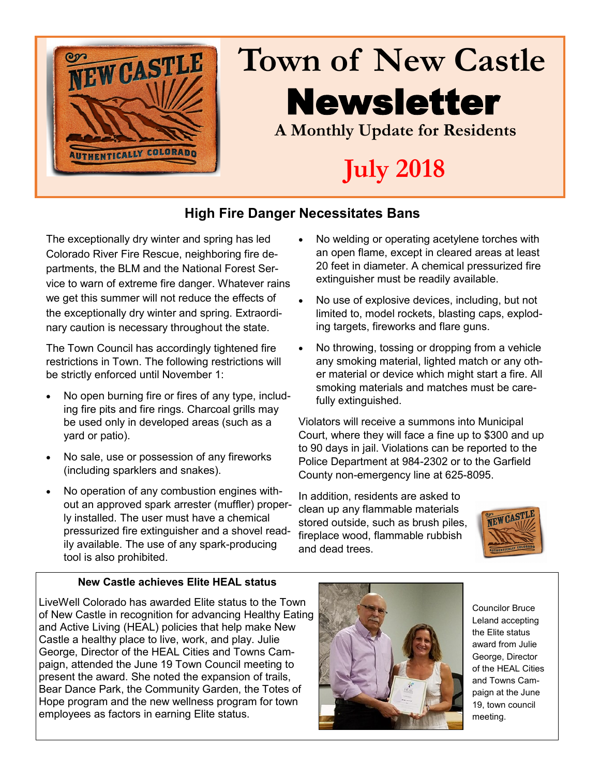

# **Town of New Castle** Newsletter **A Monthly Update for Residents**

# **July 2018**

## **High Fire Danger Necessitates Bans**

The exceptionally dry winter and spring has led Colorado River Fire Rescue, neighboring fire departments, the BLM and the National Forest Service to warn of extreme fire danger. Whatever rains we get this summer will not reduce the effects of the exceptionally dry winter and spring. Extraordinary caution is necessary throughout the state.

The Town Council has accordingly tightened fire restrictions in Town. The following restrictions will be strictly enforced until November 1:

- No open burning fire or fires of any type, including fire pits and fire rings. Charcoal grills may be used only in developed areas (such as a yard or patio).
- No sale, use or possession of any fireworks (including sparklers and snakes).
- No operation of any combustion engines without an approved spark arrester (muffler) properly installed. The user must have a chemical pressurized fire extinguisher and a shovel readily available. The use of any spark-producing tool is also prohibited.
- No welding or operating acetylene torches with an open flame, except in cleared areas at least 20 feet in diameter. A chemical pressurized fire extinguisher must be readily available.
- No use of explosive devices, including, but not limited to, model rockets, blasting caps, exploding targets, fireworks and flare guns.
- No throwing, tossing or dropping from a vehicle any smoking material, lighted match or any other material or device which might start a fire. All smoking materials and matches must be carefully extinguished.

Violators will receive a summons into Municipal Court, where they will face a fine up to \$300 and up to 90 days in jail. Violations can be reported to the Police Department at 984-2302 or to the Garfield County non-emergency line at 625-8095.

In addition, residents are asked to clean up any flammable materials stored outside, such as brush piles, fireplace wood, flammable rubbish and dead trees.



### **New Castle achieves Elite HEAL status**

LiveWell Colorado has awarded Elite status to the Town of New Castle in recognition for advancing Healthy Eating and Active Living (HEAL) policies that help make New Castle a healthy place to live, work, and play. Julie George, Director of the HEAL Cities and Towns Campaign, attended the June 19 Town Council meeting to present the award. She noted the expansion of trails, Bear Dance Park, the Community Garden, the Totes of Hope program and the new wellness program for town employees as factors in earning Elite status.



Councilor Bruce Leland accepting the Elite status award from Julie George, Director of the HEAL Cities and Towns Campaign at the June 19, town council meeting.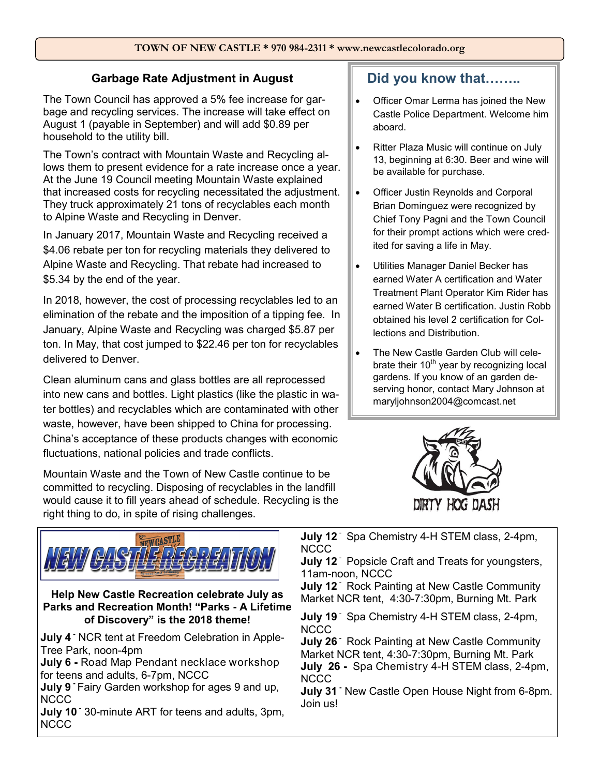#### **TOWN OF NEW CASTLE \* 970 984-2311 \* www.newcastlecolorado.org**

### **Garbage Rate Adjustment in August**

The Town Council has approved a 5% fee increase for garbage and recycling services. The increase will take effect on August 1 (payable in September) and will add \$0.89 per household to the utility bill.

The Town's contract with Mountain Waste and Recycling allows them to present evidence for a rate increase once a year. At the June 19 Council meeting Mountain Waste explained that increased costs for recycling necessitated the adjustment. They truck approximately 21 tons of recyclables each month to Alpine Waste and Recycling in Denver.

In January 2017, Mountain Waste and Recycling received a \$4.06 rebate per ton for recycling materials they delivered to Alpine Waste and Recycling. That rebate had increased to \$5.34 by the end of the year.

In 2018, however, the cost of processing recyclables led to an elimination of the rebate and the imposition of a tipping fee. In January, Alpine Waste and Recycling was charged \$5.87 per ton. In May, that cost jumped to \$22.46 per ton for recyclables delivered to Denver.

Clean aluminum cans and glass bottles are all reprocessed into new cans and bottles. Light plastics (like the plastic in water bottles) and recyclables which are contaminated with other waste, however, have been shipped to China for processing. China's acceptance of these products changes with economic fluctuations, national policies and trade conflicts.

Mountain Waste and the Town of New Castle continue to be committed to recycling. Disposing of recyclables in the landfill would cause it to fill years ahead of schedule. Recycling is the right thing to do, in spite of rising challenges.



**Did you know that……..**

- Officer Omar Lerma has joined the New Castle Police Department. Welcome him aboard.
- Ritter Plaza Music will continue on July 13, beginning at 6:30. Beer and wine will be available for purchase.
- Officer Justin Reynolds and Corporal Brian Dominguez were recognized by Chief Tony Pagni and the Town Council for their prompt actions which were credited for saving a life in May.
- Utilities Manager Daniel Becker has earned Water A certification and Water Treatment Plant Operator Kim Rider has earned Water B certification. Justin Robb obtained his level 2 certification for Collections and Distribution.
- The New Castle Garden Club will celebrate their  $10<sup>th</sup>$  year by recognizing local gardens. If you know of an garden deserving honor, contact Mary Johnson at maryljohnson2004@comcast.net



**July 12** - Spa Chemistry 4-H STEM class, 2-4pm, NCCC

**July 12** Popsicle Craft and Treats for youngsters, 11am-noon, NCCC

**July 12** Rock Painting at New Castle Community Market NCR tent, 4:30-7:30pm, Burning Mt. Park

**July 19** - Spa Chemistry 4-H STEM class, 2-4pm, NCCC

**July 26** Rock Painting at New Castle Community Market NCR tent, 4:30-7:30pm, Burning Mt. Park **July 26 -** Spa Chemistry 4-H STEM class, 2-4pm, **NCCC** 

**July 31 -** New Castle Open House Night from 6-8pm. Join us!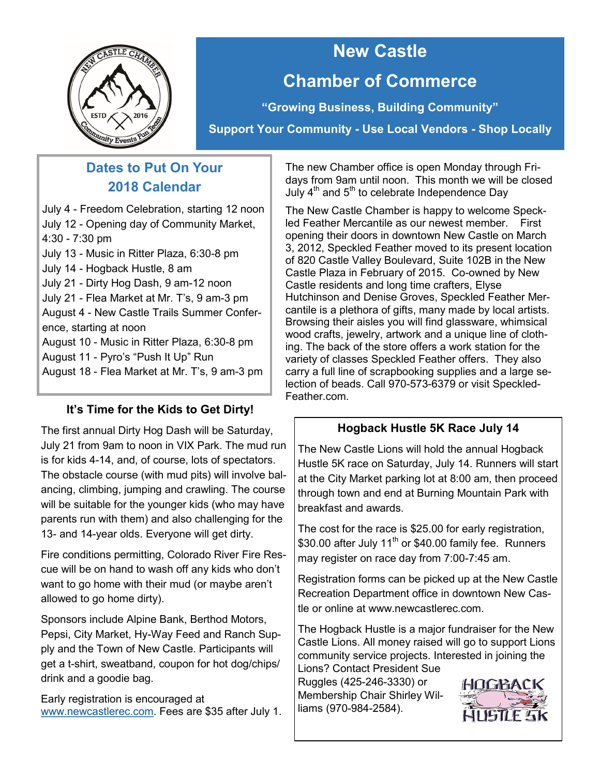

## **New Castle Chamber of Commerce**

**"Growing Business, Building Community"**

**Support Your Community - Use Local Vendors - Shop Locally**

## **Dates to Put On Your 2018 Calendar**

July 4 - Freedom Celebration, starting 12 noon July 12 - Opening day of Community Market, 4:30 - 7:30 pm

July 13 - Music in Ritter Plaza, 6:30-8 pm July 14 - Hogback Hustle, 8 am July 21 - Dirty Hog Dash, 9 am-12 noon July 21 - Flea Market at Mr. T's, 9 am-3 pm August 4 - New Castle Trails Summer Conference, starting at noon August 10 - Music in Ritter Plaza, 6:30-8 pm

August 11 - Pyro's "Push It Up" Run

August 18 - Flea Market at Mr. T's, 9 am-3 pm

## **It's Time for the Kids to Get Dirty!**

The first annual Dirty Hog Dash will be Saturday, July 21 from 9am to noon in VIX Park. The mud run is for kids 4-14, and, of course, lots of spectators. The obstacle course (with mud pits) will involve balancing, climbing, jumping and crawling. The course will be suitable for the younger kids (who may have parents run with them) and also challenging for the 13- and 14-year olds. Everyone will get dirty.

Fire conditions permitting, Colorado River Fire Rescue will be on hand to wash off any kids who don't want to go home with their mud (or maybe aren't allowed to go home dirty).

Sponsors include Alpine Bank, Berthod Motors, Pepsi, City Market, Hy-Way Feed and Ranch Supply and the Town of New Castle. Participants will get a t-shirt, sweatband, coupon for hot dog/chips/ drink and a goodie bag.

Early registration is encouraged at [www.newcastlerec.com.](http://www.newcastlerec.com) Fees are \$35 after July 1.

The new Chamber office is open Monday through Fridays from 9am until noon. This month we will be closed July  $4^{\text{th}}$  and  $5^{\text{th}}$  to celebrate Independence Day

The New Castle Chamber is happy to welcome Speckled Feather Mercantile as our newest member. First opening their doors in downtown New Castle on March 3, 2012, Speckled Feather moved to its present location of 820 Castle Valley Boulevard, Suite 102B in the New Castle Plaza in February of 2015. Co-owned by New Castle residents and long time crafters, Elyse Hutchinson and Denise Groves, Speckled Feather Mercantile is a plethora of gifts, many made by local artists. Browsing their aisles you will find glassware, whimsical wood crafts, jewelry, artwork and a unique line of clothing. The back of the store offers a work station for the variety of classes Speckled Feather offers. They also carry a full line of scrapbooking supplies and a large selection of beads. Call 970-573-6379 or visit Speckled-Feather.com.

## **Hogback Hustle 5K Race July 14**

The New Castle Lions will hold the annual Hogback Hustle 5K race on Saturday, July 14. Runners will start at the City Market parking lot at 8:00 am, then proceed through town and end at Burning Mountain Park with breakfast and awards.

The cost for the race is \$25.00 for early registration, \$30.00 after July 11<sup>th</sup> or \$40.00 family fee. Runners may register on race day from 7:00-7:45 am.

Registration forms can be picked up at the New Castle Recreation Department office in downtown New Castle or online at www.newcastlerec.com.

The Hogback Hustle is a major fundraiser for the New Castle Lions. All money raised will go to support Lions community service projects. Interested in joining the

Lions? Contact President Sue Ruggles (425-246-3330) or Membership Chair Shirley Williams (970-984-2584).